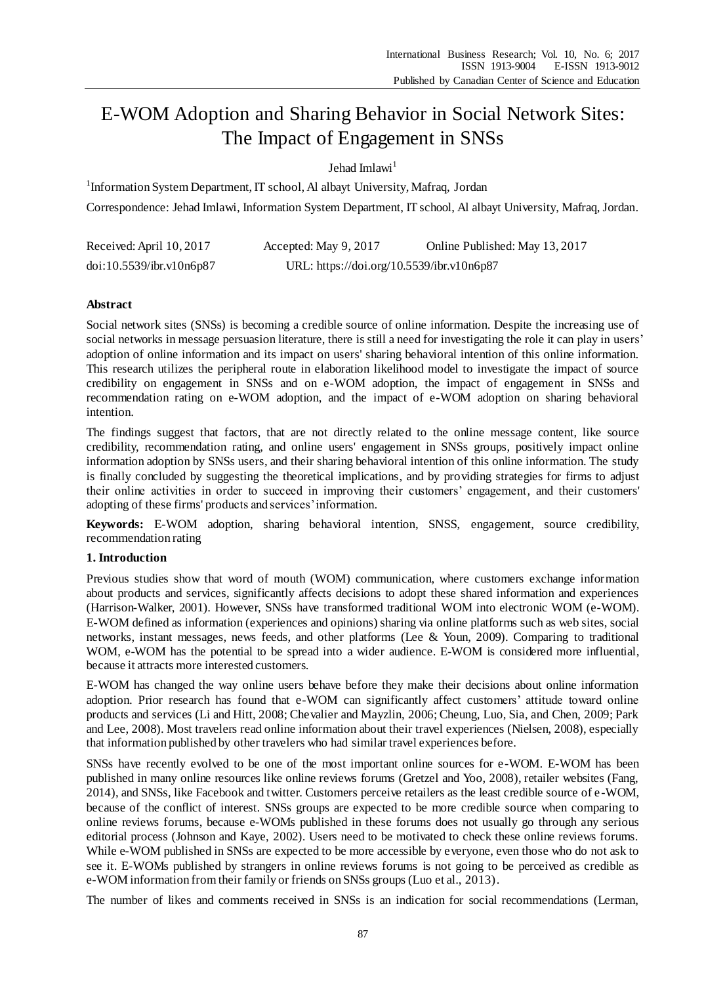# E-WOM Adoption and Sharing Behavior in Social Network Sites: The Impact of Engagement in SNSs

Jehad Imlawi<sup>1</sup>

<sup>1</sup>Information System Department, IT school, Al albayt University, Mafraq, Jordan Correspondence: Jehad Imlawi, Information System Department, IT school, Al albayt University, Mafraq, Jordan.

| Received: April 10, 2017 | Accepted: May 9, 2017                     | Online Published: May 13, 2017 |
|--------------------------|-------------------------------------------|--------------------------------|
| doi:10.5539/ibr.v10n6p87 | URL: https://doi.org/10.5539/ibr.v10n6p87 |                                |

# **Abstract**

Social network sites (SNSs) is becoming a credible source of online information. Despite the increasing use of social networks in message persuasion literature, there is still a need for investigating the role it can play in users' adoption of online information and its impact on users' sharing behavioral intention of this online information. This research utilizes the peripheral route in elaboration likelihood model to investigate the impact of source credibility on engagement in SNSs and on e-WOM adoption, the impact of engagement in SNSs and recommendation rating on e-WOM adoption, and the impact of e-WOM adoption on sharing behavioral intention.

The findings suggest that factors, that are not directly related to the online message content, like source credibility, recommendation rating, and online users' engagement in SNSs groups, positively impact online information adoption by SNSs users, and their sharing behavioral intention of this online information. The study is finally concluded by suggesting the theoretical implications, and by providing strategies for firms to adjust their online activities in order to succeed in improving their customers' engagement, and their customers' adopting of these firms' products and services' information.

**Keywords:** E-WOM adoption, sharing behavioral intention, SNSS, engagement, source credibility, recommendation rating

# **1. Introduction**

Previous studies show that word of mouth (WOM) communication, where customers exchange information about products and services, significantly affects decisions to adopt these shared information and experiences (Harrison-Walker, 2001). However, SNSs have transformed traditional WOM into electronic WOM (e-WOM). E-WOM defined as information (experiences and opinions) sharing via online platforms such as web sites, social networks, instant messages, news feeds, and other platforms (Lee & Youn, 2009). Comparing to traditional WOM, e-WOM has the potential to be spread into a wider audience. E-WOM is considered more influential, because it attracts more interested customers.

E-WOM has changed the way online users behave before they make their decisions about online information adoption. Prior research has found that e-WOM can significantly affect customers' attitude toward online products and services (Li and Hitt, 2008; Chevalier and Mayzlin, 2006; Cheung, Luo, Sia, and Chen, 2009; Park and Lee, 2008). Most travelers read online information about their travel experiences (Nielsen, 2008), especially that information published by other travelers who had similar travel experiences before.

SNSs have recently evolved to be one of the most important online sources for e-WOM. E-WOM has been published in many online resources like online reviews forums (Gretzel and Yoo, 2008), retailer websites (Fang, 2014), and SNSs, like Facebook and twitter. Customers perceive retailers as the least credible source of e-WOM, because of the conflict of interest. SNSs groups are expected to be more credible source when comparing to online reviews forums, because e-WOMs published in these forums does not usually go through any serious editorial process (Johnson and Kaye, 2002). Users need to be motivated to check these online reviews forums. While e-WOM published in SNSs are expected to be more accessible by everyone, even those who do not ask to see it. E-WOMs published by strangers in online reviews forums is not going to be perceived as credible as e-WOM information from their family or friends on SNSs groups (Luo et al., 2013).

The number of likes and comments received in SNSs is an indication for social recommendations (Lerman,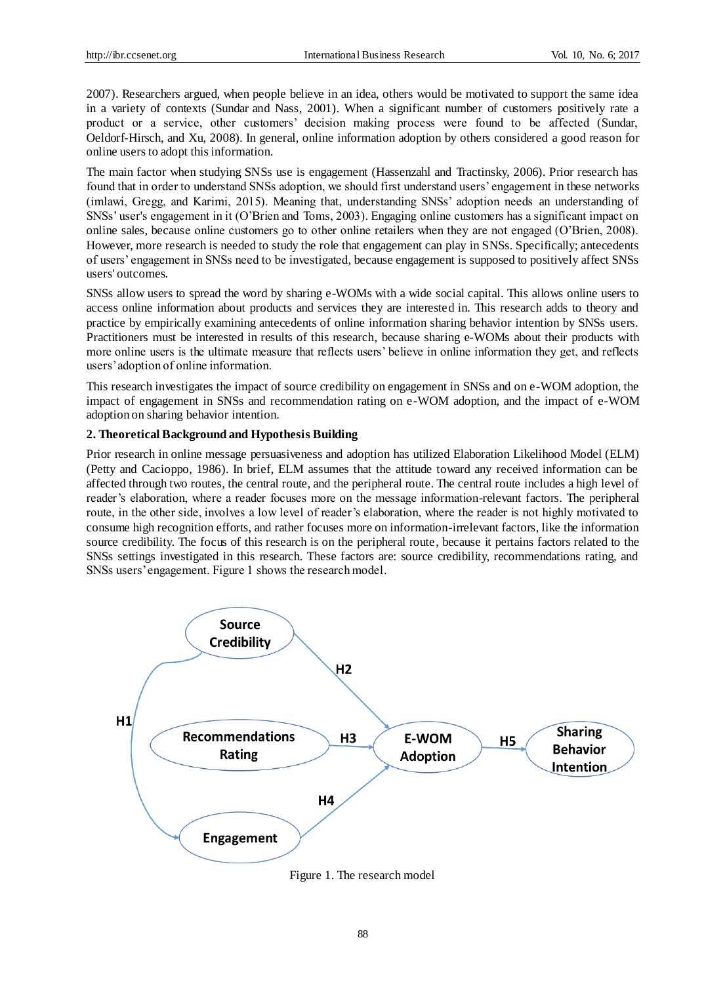2007). Researchers argued, when people believe in an idea, others would be motivated to support the same idea in a variety of contexts (Sundar and Nass, 2001). When a significant number of customers positively rate a product or a service, other customers' decision making process were found to be affected (Sundar, Oeldorf-Hirsch, and Xu, 2008). In general, online information adoption by others considered a good reason for online users to adopt this information.

The main factor when studying SNSs use is engagement (Hassenzahl and Tractinsky, 2006). Prior research has found that in order to understand SNSs adoption, we should first understand users' engagement in these networks (imlawi, Gregg, and Karimi, 2015). Meaning that, understanding SNSs' adoption needs an understanding of SNSs' user's engagement in it (O'Brien and Toms, 2003). Engaging online customers has a significant impact on online sales, because online customers go to other online retailers when they are not engaged (O'Brien, 2008). However, more research is needed to study the role that engagement can play in SNSs. Specifically; antecedents of users' engagement in SNSs need to be investigated, because engagement is supposed to positively affect SNSs users' outcomes.

SNSs allow users to spread the word by sharing e-WOMs with a wide social capital. This allows online users to access online information about products and services they are interested in. This research adds to theory and practice by empirically examining antecedents of online information sharing behavior intention by SNSs users. Practitioners must be interested in results of this research, because sharing e-WOMs about their products with more online users is the ultimate measure that reflects users' believe in online information they get, and reflects users' adoption of online information.

This research investigates the impact of source credibility on engagement in SNSs and on e-WOM adoption, the impact of engagement in SNSs and recommendation rating on e-WOM adoption, and the impact of e-WOM adoption on sharing behavior intention.

## **2. Theoretical Background and Hypothesis Building**

Prior research in online message persuasiveness and adoption has utilized Elaboration Likelihood Model (ELM) (Petty and Cacioppo, 1986). In brief, ELM assumes that the attitude toward any received information can be affected through two routes, the central route, and the peripheral route. The central route includes a high level of reader's elaboration, where a reader focuses more on the message information-relevant factors. The peripheral route, in the other side, involves a low level of reader's elaboration, where the reader is not highly motivated to consume high recognition efforts, and rather focuses more on information-irrelevant factors, like the information source credibility. The focus of this research is on the peripheral route, because it pertains factors related to the SNSs settings investigated in this research. These factors are: source credibility, recommendations rating, and SNSs users' engagement. Figure 1 shows the research model.



Figure 1. The research model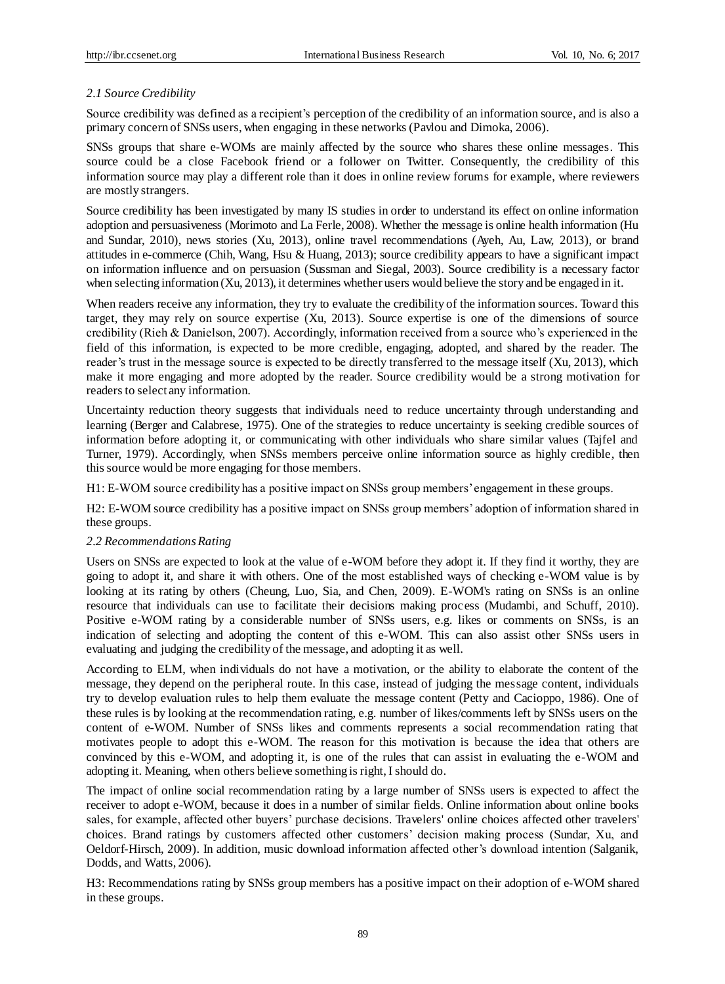## *2.1 Source Credibility*

Source credibility was defined as a recipient's perception of the credibility of an information source, and is also a primary concern of SNSs users, when engaging in these networks (Pavlou and Dimoka, 2006).

SNSs groups that share e-WOMs are mainly affected by the source who shares these online messages. This source could be a close Facebook friend or a follower on Twitter. Consequently, the credibility of this information source may play a different role than it does in online review forums for example, where reviewers are mostly strangers.

Source credibility has been investigated by many IS studies in order to understand its effect on online information adoption and persuasiveness (Morimoto and La Ferle, 2008). Whether the message is online health information (Hu and Sundar, 2010), news stories (Xu, 2013), online travel recommendations (Ayeh, Au, Law, 2013), or brand attitudes in e-commerce (Chih, Wang, Hsu & Huang, 2013); source credibility appears to have a significant impact on information influence and on persuasion (Sussman and Siegal, 2003). Source credibility is a necessary factor when selecting information (Xu, 2013), it determines whether users would believe the story and be engaged in it.

When readers receive any information, they try to evaluate the credibility of the information sources. Toward this target, they may rely on source expertise (Xu, 2013). Source expertise is one of the dimensions of source credibility (Rieh & Danielson, 2007). Accordingly, information received from a source who's experienced in the field of this information, is expected to be more credible, engaging, adopted, and shared by the reader. The reader's trust in the message source is expected to be directly transferred to the message itself (Xu, 2013), which make it more engaging and more adopted by the reader. Source credibility would be a strong motivation for readers to select any information.

Uncertainty reduction theory suggests that individuals need to reduce uncertainty through understanding and learning (Berger and Calabrese, 1975). One of the strategies to reduce uncertainty is seeking credible sources of information before adopting it, or communicating with other individuals who share similar values (Tajfel and Turner, 1979). Accordingly, when SNSs members perceive online information source as highly credible, then this source would be more engaging for those members.

H1: E-WOM source credibility has a positive impact on SNSs group members' engagement in these groups.

H2: E-WOM source credibility has a positive impact on SNSs group members' adoption of information shared in these groups.

## *2.2 Recommendations Rating*

Users on SNSs are expected to look at the value of e-WOM before they adopt it. If they find it worthy, they are going to adopt it, and share it with others. One of the most established ways of checking e-WOM value is by looking at its rating by others (Cheung, Luo, Sia, and Chen, 2009). E-WOM's rating on SNSs is an online resource that individuals can use to facilitate their decisions making process (Mudambi, and Schuff, 2010). Positive e-WOM rating by a considerable number of SNSs users, e.g. likes or comments on SNSs, is an indication of selecting and adopting the content of this e-WOM. This can also assist other SNSs users in evaluating and judging the credibility of the message, and adopting it as well.

According to ELM, when individuals do not have a motivation, or the ability to elaborate the content of the message, they depend on the peripheral route. In this case, instead of judging the message content, individuals try to develop evaluation rules to help them evaluate the message content (Petty and Cacioppo, 1986). One of these rules is by looking at the recommendation rating, e.g. number of likes/comments left by SNSs users on the content of e-WOM. Number of SNSs likes and comments represents a social recommendation rating that motivates people to adopt this e-WOM. The reason for this motivation is because the idea that others are convinced by this e-WOM, and adopting it, is one of the rules that can assist in evaluating the e-WOM and adopting it. Meaning, when others believe something is right, I should do.

The impact of online social recommendation rating by a large number of SNSs users is expected to affect the receiver to adopt e-WOM, because it does in a number of similar fields. Online information about online books sales, for example, affected other buyers' purchase decisions. Travelers' online choices affected other travelers' choices. Brand ratings by customers affected other customers' decision making process (Sundar, Xu, and Oeldorf-Hirsch, 2009). In addition, music download information affected other's download intention (Salganik, Dodds, and Watts, 2006).

H3: Recommendations rating by SNSs group members has a positive impact on their adoption of e-WOM shared in these groups.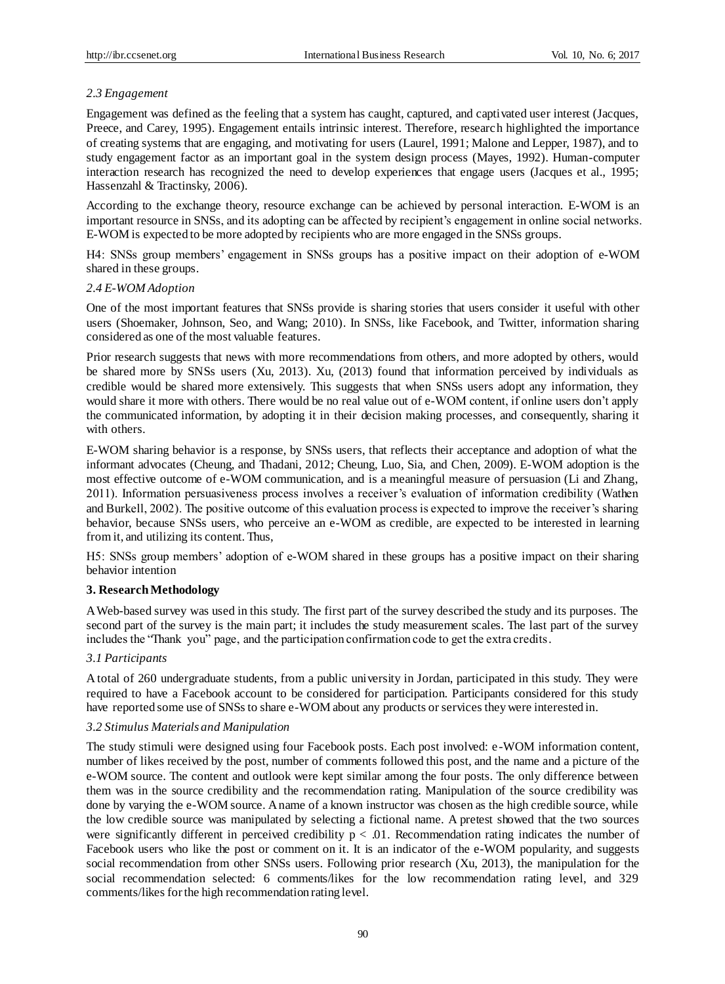## *2.3 Engagement*

Engagement was defined as the feeling that a system has caught, captured, and captivated user interest (Jacques, Preece, and Carey, 1995). Engagement entails intrinsic interest. Therefore, research highlighted the importance of creating systems that are engaging, and motivating for users (Laurel, 1991; Malone and Lepper, 1987), and to study engagement factor as an important goal in the system design process (Mayes, 1992). Human-computer interaction research has recognized the need to develop experiences that engage users (Jacques et al., 1995; Hassenzahl & Tractinsky, 2006).

According to the exchange theory, resource exchange can be achieved by personal interaction. E-WOM is an important resource in SNSs, and its adopting can be affected by recipient's engagement in online social networks. E-WOM is expected to be more adopted by recipients who are more engaged in the SNSs groups.

H4: SNSs group members' engagement in SNSs groups has a positive impact on their adoption of e-WOM shared in these groups.

## *2.4 E-WOM Adoption*

One of the most important features that SNSs provide is sharing stories that users consider it useful with other users (Shoemaker, Johnson, Seo, and Wang; 2010). In SNSs, like Facebook, and Twitter, information sharing considered as one of the most valuable features.

Prior research suggests that news with more recommendations from others, and more adopted by others, would be shared more by SNSs users (Xu, 2013). Xu, (2013) found that information perceived by individuals as credible would be shared more extensively. This suggests that when SNSs users adopt any information, they would share it more with others. There would be no real value out of e-WOM content, if online users don't apply the communicated information, by adopting it in their decision making processes, and consequently, sharing it with others.

E-WOM sharing behavior is a response, by SNSs users, that reflects their acceptance and adoption of what the informant advocates (Cheung, and Thadani, 2012; Cheung, Luo, Sia, and Chen, 2009). E-WOM adoption is the most effective outcome of e-WOM communication, and is a meaningful measure of persuasion (Li and Zhang, 2011). Information persuasiveness process involves a receiver's evaluation of information credibility (Wathen and Burkell, 2002). The positive outcome of this evaluation process is expected to improve the receiver's sharing behavior, because SNSs users, who perceive an e-WOM as credible, are expected to be interested in learning from it, and utilizing its content. Thus,

H5: SNSs group members' adoption of e-WOM shared in these groups has a positive impact on their sharing behavior intention

## **3. Research Methodology**

A Web-based survey was used in this study. The first part of the survey described the study and its purposes. The second part of the survey is the main part; it includes the study measurement scales. The last part of the survey includes the "Thank you" page, and the participation confirmation code to get the extra credits.

## *3.1 Participants*

A total of 260 undergraduate students, from a public university in Jordan, participated in this study. They were required to have a Facebook account to be considered for participation. Participants considered for this study have reported some use of SNSs to share e-WOM about any products or services they were interested in.

## *3.2 Stimulus Materials and Manipulation*

The study stimuli were designed using four Facebook posts. Each post involved: e-WOM information content, number of likes received by the post, number of comments followed this post, and the name and a picture of the e-WOM source. The content and outlook were kept similar among the four posts. The only difference between them was in the source credibility and the recommendation rating. Manipulation of the source credibility was done by varying the e-WOM source. A name of a known instructor was chosen as the high credible source, while the low credible source was manipulated by selecting a fictional name. A pretest showed that the two sources were significantly different in perceived credibility  $p < .01$ . Recommendation rating indicates the number of Facebook users who like the post or comment on it. It is an indicator of the e-WOM popularity, and suggests social recommendation from other SNSs users. Following prior research (Xu, 2013), the manipulation for the social recommendation selected: 6 comments/likes for the low recommendation rating level, and 329 comments/likes for the high recommendation rating level.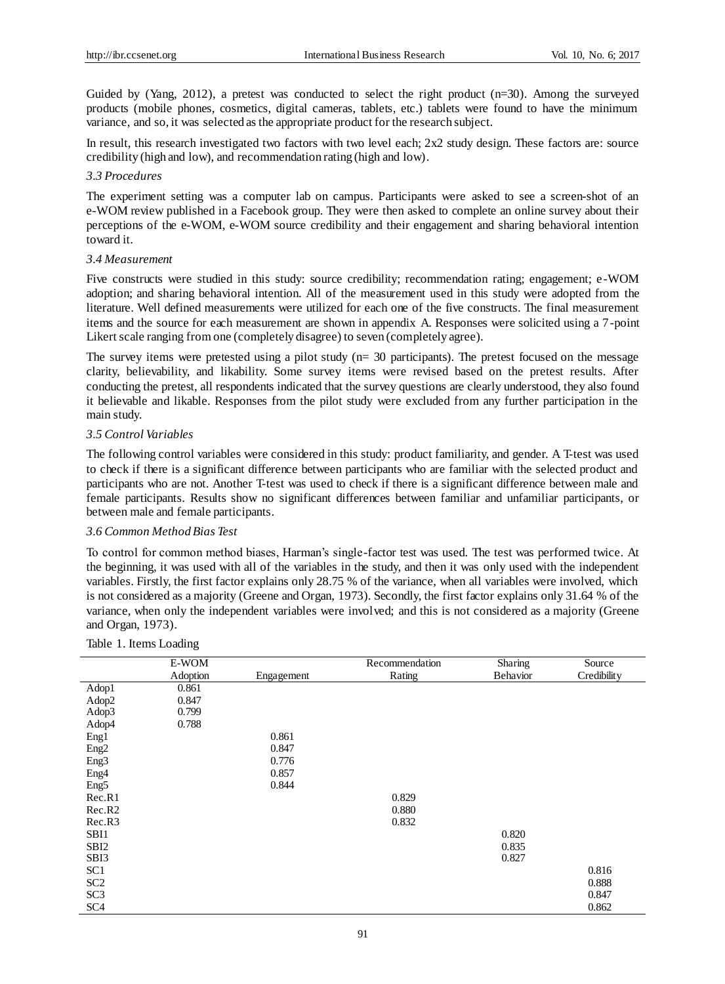Guided by (Yang, 2012), a pretest was conducted to select the right product (n=30). Among the surveyed products (mobile phones, cosmetics, digital cameras, tablets, etc.) tablets were found to have the minimum variance, and so, it was selected as the appropriate product for the research subject.

In result, this research investigated two factors with two level each; 2x2 study design. These factors are: source credibility (high and low), and recommendation rating (high and low).

## *3.3 Procedures*

The experiment setting was a computer lab on campus. Participants were asked to see a screen-shot of an e-WOM review published in a Facebook group. They were then asked to complete an online survey about their perceptions of the e-WOM, e-WOM source credibility and their engagement and sharing behavioral intention toward it.

#### *3.4 Measurement*

Five constructs were studied in this study: source credibility; recommendation rating; engagement; e-WOM adoption; and sharing behavioral intention. All of the measurement used in this study were adopted from the literature. Well defined measurements were utilized for each one of the five constructs. The final measurement items and the source for each measurement are shown in appendix A. Responses were solicited using a 7-point Likert scale ranging from one (completely disagree) to seven (completely agree).

The survey items were pretested using a pilot study (n= 30 participants). The pretest focused on the message clarity, believability, and likability. Some survey items were revised based on the pretest results. After conducting the pretest, all respondents indicated that the survey questions are clearly understood, they also found it believable and likable. Responses from the pilot study were excluded from any further participation in the main study.

## *3.5 Control Variables*

The following control variables were considered in this study: product familiarity, and gender. A T-test was used to check if there is a significant difference between participants who are familiar with the selected product and participants who are not. Another T-test was used to check if there is a significant difference between male and female participants. Results show no significant differences between familiar and unfamiliar participants, or between male and female participants.

#### *3.6 Common Method Bias Test*

To control for common method biases, Harman's single-factor test was used. The test was performed twice. At the beginning, it was used with all of the variables in the study, and then it was only used with the independent variables. Firstly, the first factor explains only 28.75 % of the variance, when all variables were involved, which is not considered as a majority (Greene and Organ, 1973). Secondly, the first factor explains only 31.64 % of the variance, when only the independent variables were involved; and this is not considered as a majority (Greene and Organ, 1973).

|                  | E-WOM    |            | Recommendation | Sharing  | Source      |
|------------------|----------|------------|----------------|----------|-------------|
|                  | Adoption | Engagement | Rating         | Behavior | Credibility |
| Adop1            | 0.861    |            |                |          |             |
| Adop2            | 0.847    |            |                |          |             |
| Adop3            | 0.799    |            |                |          |             |
| Adop4            | 0.788    |            |                |          |             |
| Eng1             |          | 0.861      |                |          |             |
| Eng <sub>2</sub> |          | 0.847      |                |          |             |
| Eng <sub>3</sub> |          | 0.776      |                |          |             |
| Eng <sub>4</sub> |          | 0.857      |                |          |             |
| Eng <sub>5</sub> |          | 0.844      |                |          |             |
| Rec.R1           |          |            | 0.829          |          |             |
| Rec.R2           |          |            | 0.880          |          |             |
| Rec.R3           |          |            | 0.832          |          |             |
| SBI1             |          |            |                | 0.820    |             |
| SBI <sub>2</sub> |          |            |                | 0.835    |             |
| SBI3             |          |            |                | 0.827    |             |
| SC <sub>1</sub>  |          |            |                |          | 0.816       |
| SC <sub>2</sub>  |          |            |                |          | 0.888       |
| SC <sub>3</sub>  |          |            |                |          | 0.847       |
| SC <sub>4</sub>  |          |            |                |          | 0.862       |

#### Table 1. Items Loading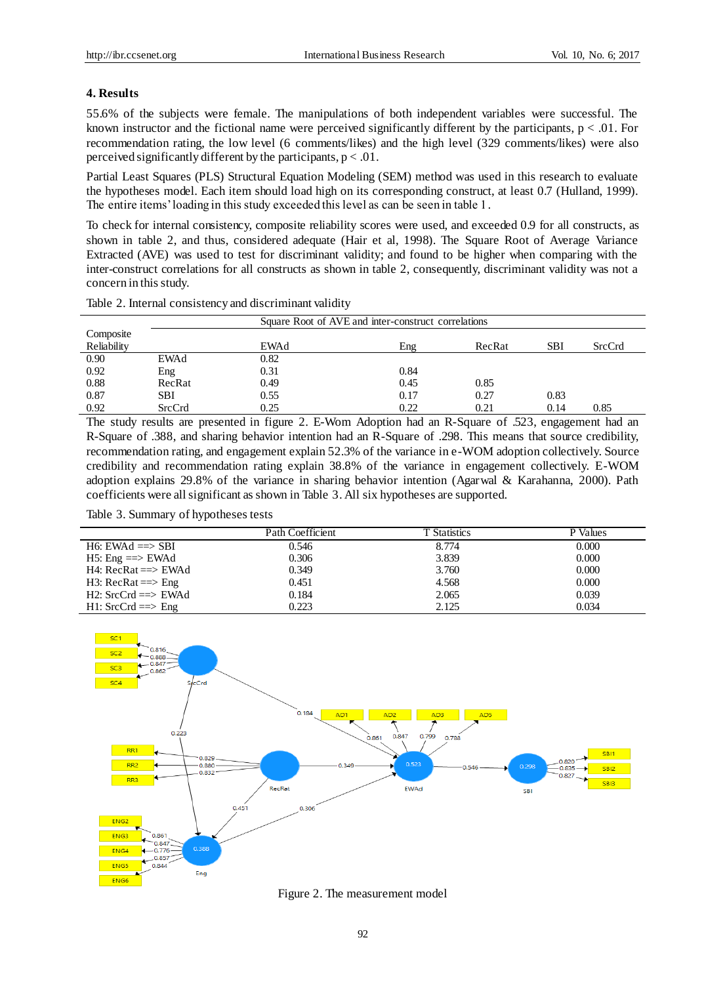## **4. Results**

55.6% of the subjects were female. The manipulations of both independent variables were successful. The known instructor and the fictional name were perceived significantly different by the participants,  $p < .01$ . For recommendation rating, the low level (6 comments/likes) and the high level (329 comments/likes) were also perceived significantly different by the participants,  $p < .01$ .

Partial Least Squares (PLS) Structural Equation Modeling (SEM) method was used in this research to evaluate the hypotheses model. Each item should load high on its corresponding construct, at least 0.7 (Hulland, 1999). The entire items' loading in this study exceeded this level as can be seen in table 1.

To check for internal consistency, composite reliability scores were used, and exceeded 0.9 for all constructs, as shown in table 2, and thus, considered adequate (Hair et al, 1998). The Square Root of Average Variance Extracted (AVE) was used to test for discriminant validity; and found to be higher when comparing with the inter-construct correlations for all constructs as shown in table 2, consequently, discriminant validity was not a concern in this study.

| Square Root of AVE and inter-construct correlations |      |      |        |            |        |
|-----------------------------------------------------|------|------|--------|------------|--------|
|                                                     |      |      |        |            |        |
|                                                     | EWAd | Eng  | RecRat | <b>SBI</b> | SrcCrd |
| EWAd                                                | 0.82 |      |        |            |        |
|                                                     | 0.31 | 0.84 |        |            |        |
| RecRat                                              | 0.49 | 0.45 | 0.85   |            |        |
| SBI                                                 | 0.55 | 0.17 | 0.27   | 0.83       |        |
| SrcCrd                                              | 0.25 | 0.22 | 0.21   | 0.14       | 0.85   |
|                                                     | Eng  |      |        |            |        |

The study results are presented in figure 2. E-Wom Adoption had an R-Square of .523, engagement had an R-Square of .388, and sharing behavior intention had an R-Square of .298. This means that source credibility, recommendation rating, and engagement explain 52.3% of the variance in e-WOM adoption collectively. Source credibility and recommendation rating explain 38.8% of the variance in engagement collectively. E-WOM adoption explains 29.8% of the variance in sharing behavior intention (Agarwal & Karahanna, 2000). Path coefficients were all significant as shown in Table 3. All six hypotheses are supported.

#### Table 3. Summary of hypotheses tests

Table 2. Internal consistency and discriminant validity

|                              | Path Coefficient | <b>T</b> Statistics | P Values |
|------------------------------|------------------|---------------------|----------|
| $H6: EWAd \implies SBI$      | 0.546            | 8.774               | 0.000    |
| $H5: Eng \equiv > EWAd$      | 0.306            | 3.839               | 0.000    |
| $H4$ : RecRat = $\ge$ EWAd   | 0.349            | 3.760               | 0.000    |
| H3: $RecRat \equiv > Eng$    | 0.451            | 4.568               | 0.000    |
| $H2:$ SrcCrd $\equiv >$ EWAd | 0.184            | 2.065               | 0.039    |
| $H1: SrcCrd \implies Eng$    | 0.223            | 2.125               | 0.034    |



Figure 2. The measurement model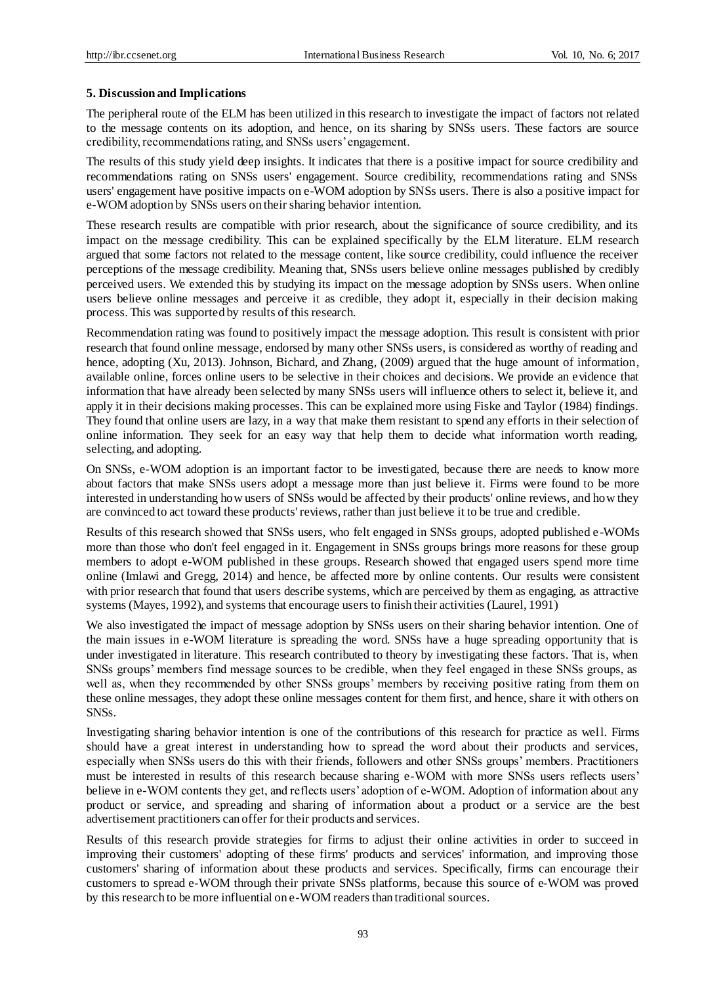#### **5. Discussion and Implications**

The peripheral route of the ELM has been utilized in this research to investigate the impact of factors not related to the message contents on its adoption, and hence, on its sharing by SNSs users. These factors are source credibility, recommendations rating, and SNSs users' engagement.

The results of this study yield deep insights. It indicates that there is a positive impact for source credibility and recommendations rating on SNSs users' engagement. Source credibility, recommendations rating and SNSs users' engagement have positive impacts on e-WOM adoption by SNSs users. There is also a positive impact for e-WOM adoption by SNSs users on their sharing behavior intention.

These research results are compatible with prior research, about the significance of source credibility, and its impact on the message credibility. This can be explained specifically by the ELM literature. ELM research argued that some factors not related to the message content, like source credibility, could influence the receiver perceptions of the message credibility. Meaning that, SNSs users believe online messages published by credibly perceived users. We extended this by studying its impact on the message adoption by SNSs users. When online users believe online messages and perceive it as credible, they adopt it, especially in their decision making process. This was supported by results of this research.

Recommendation rating was found to positively impact the message adoption. This result is consistent with prior research that found online message, endorsed by many other SNSs users, is considered as worthy of reading and hence, adopting (Xu, 2013). Johnson, Bichard, and Zhang, (2009) argued that the huge amount of information, available online, forces online users to be selective in their choices and decisions. We provide an evidence that information that have already been selected by many SNSs users will influence others to select it, believe it, and apply it in their decisions making processes. This can be explained more using Fiske and Taylor (1984) findings. They found that online users are lazy, in a way that make them resistant to spend any efforts in their selection of online information. They seek for an easy way that help them to decide what information worth reading, selecting, and adopting.

On SNSs, e-WOM adoption is an important factor to be investigated, because there are needs to know more about factors that make SNSs users adopt a message more than just believe it. Firms were found to be more interested in understanding how users of SNSs would be affected by their products' online reviews, and how they are convinced to act toward these products' reviews,rather than just believe it to be true and credible.

Results of this research showed that SNSs users, who felt engaged in SNSs groups, adopted published e-WOMs more than those who don't feel engaged in it. Engagement in SNSs groups brings more reasons for these group members to adopt e-WOM published in these groups. Research showed that engaged users spend more time online (Imlawi and Gregg, 2014) and hence, be affected more by online contents. Our results were consistent with prior research that found that users describe systems, which are perceived by them as engaging, as attractive systems (Mayes, 1992), and systems that encourage users to finish their activities (Laurel, 1991)

We also investigated the impact of message adoption by SNSs users on their sharing behavior intention. One of the main issues in e-WOM literature is spreading the word. SNSs have a huge spreading opportunity that is under investigated in literature. This research contributed to theory by investigating these factors. That is, when SNSs groups' members find message sources to be credible, when they feel engaged in these SNSs groups, as well as, when they recommended by other SNSs groups' members by receiving positive rating from them on these online messages, they adopt these online messages content for them first, and hence, share it with others on SNSs.

Investigating sharing behavior intention is one of the contributions of this research for practice as well. Firms should have a great interest in understanding how to spread the word about their products and services, especially when SNSs users do this with their friends, followers and other SNSs groups' members. Practitioners must be interested in results of this research because sharing e-WOM with more SNSs users reflects users' believe in e-WOM contents they get, and reflects users' adoption of e-WOM. Adoption of information about any product or service, and spreading and sharing of information about a product or a service are the best advertisement practitioners can offer for their products and services.

Results of this research provide strategies for firms to adjust their online activities in order to succeed in improving their customers' adopting of these firms' products and services' information, and improving those customers' sharing of information about these products and services. Specifically, firms can encourage their customers to spread e-WOM through their private SNSs platforms, because this source of e-WOM was proved by this research to be more influential on e-WOM readers than traditional sources.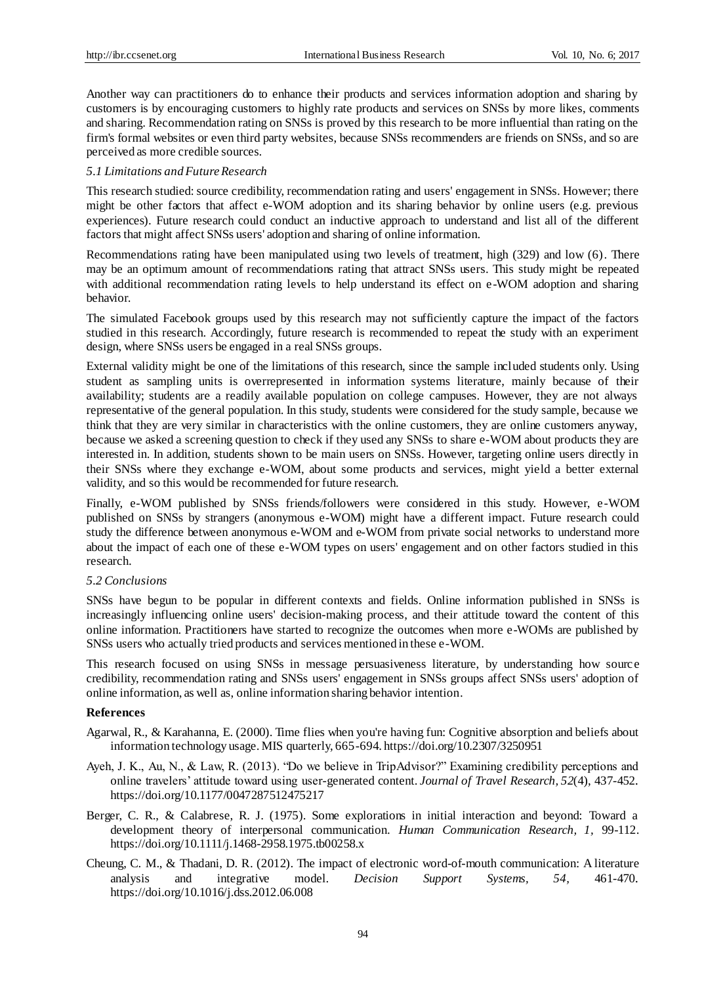Another way can practitioners do to enhance their products and services information adoption and sharing by customers is by encouraging customers to highly rate products and services on SNSs by more likes, comments and sharing. Recommendation rating on SNSs is proved by this research to be more influential than rating on the firm's formal websites or even third party websites, because SNSs recommenders are friends on SNSs, and so are perceived as more credible sources.

#### *5.1 Limitations and Future Research*

This research studied: source credibility, recommendation rating and users' engagement in SNSs. However; there might be other factors that affect e-WOM adoption and its sharing behavior by online users (e.g. previous experiences). Future research could conduct an inductive approach to understand and list all of the different factors that might affect SNSs users' adoption and sharing of online information.

Recommendations rating have been manipulated using two levels of treatment, high (329) and low (6). There may be an optimum amount of recommendations rating that attract SNSs users. This study might be repeated with additional recommendation rating levels to help understand its effect on e-WOM adoption and sharing behavior.

The simulated Facebook groups used by this research may not sufficiently capture the impact of the factors studied in this research. Accordingly, future research is recommended to repeat the study with an experiment design, where SNSs users be engaged in a real SNSs groups.

External validity might be one of the limitations of this research, since the sample included students only. Using student as sampling units is overrepresented in information systems literature, mainly because of their availability; students are a readily available population on college campuses. However, they are not always representative of the general population. In this study, students were considered for the study sample, because we think that they are very similar in characteristics with the online customers, they are online customers anyway, because we asked a screening question to check if they used any SNSs to share e-WOM about products they are interested in. In addition, students shown to be main users on SNSs. However, targeting online users directly in their SNSs where they exchange e-WOM, about some products and services, might yield a better external validity, and so this would be recommended for future research.

Finally, e-WOM published by SNSs friends/followers were considered in this study. However, e-WOM published on SNSs by strangers (anonymous e-WOM) might have a different impact. Future research could study the difference between anonymous e-WOM and e-WOM from private social networks to understand more about the impact of each one of these e-WOM types on users' engagement and on other factors studied in this research.

#### *5.2 Conclusions*

SNSs have begun to be popular in different contexts and fields. Online information published in SNSs is increasingly influencing online users' decision-making process, and their attitude toward the content of this online information. Practitioners have started to recognize the outcomes when more e-WOMs are published by SNSs users who actually tried products and services mentioned in these e-WOM.

This research focused on using SNSs in message persuasiveness literature, by understanding how source credibility, recommendation rating and SNSs users' engagement in SNSs groups affect SNSs users' adoption of online information, as well as, online information sharing behavior intention.

#### **References**

- Agarwal, R., & Karahanna, E. (2000). Time flies when you're having fun: Cognitive absorption and beliefs about information technology usage. MIS quarterly, 665-694. https://doi.org/10.2307/3250951
- Ayeh, J. K., Au, N., & Law, R. (2013). "Do we believe in TripAdvisor?" Examining credibility perceptions and online travelers' attitude toward using user-generated content. *Journal of Travel Research, 52*(4), 437-452. https://doi.org/10.1177/0047287512475217
- Berger, C. R., & Calabrese, R. J. (1975). Some explorations in initial interaction and beyond: Toward a development theory of interpersonal communication. *Human Communication Research, 1,* 99-112. https://doi.org/10.1111/j.1468-2958.1975.tb00258.x
- Cheung, C. M., & Thadani, D. R. (2012). The impact of electronic word-of-mouth communication: A literature analysis and integrative model. *Decision Support Systems, 54,* 461-470. https://doi.org/10.1016/j.dss.2012.06.008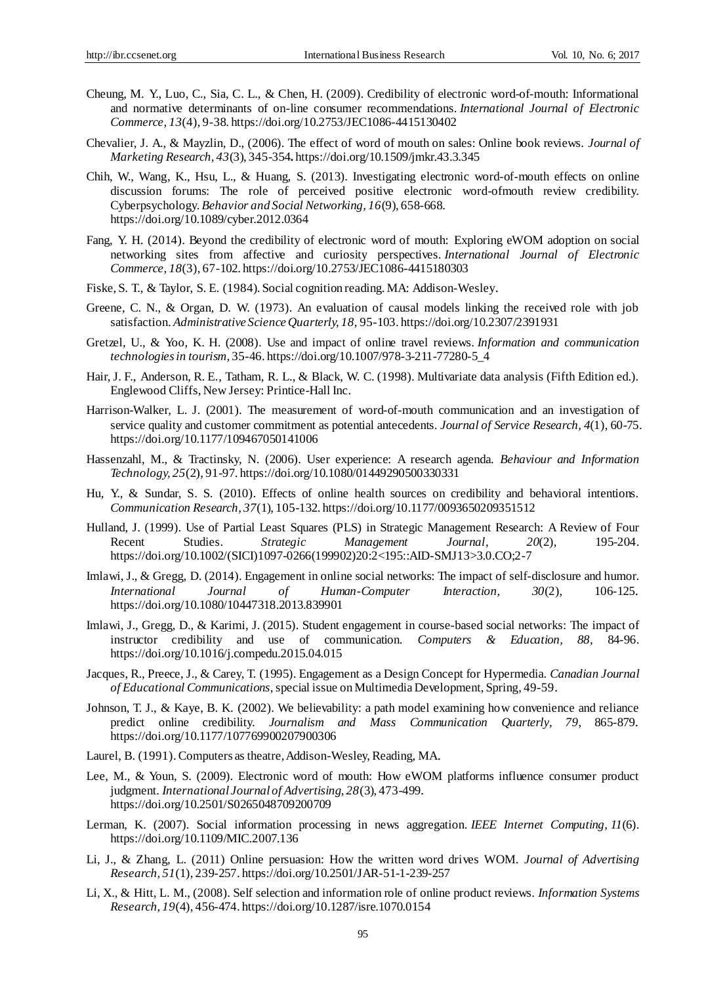- Cheung, M. Y., Luo, C., Sia, C. L., & Chen, H. (2009). Credibility of electronic word-of-mouth: Informational and normative determinants of on-line consumer recommendations. *International Journal of Electronic Commerce, 13*(4), 9-38. https://doi.org/10.2753/JEC1086-4415130402
- Chevalier, J. A., & Mayzlin, D., (2006). The effect of word of mouth on sales: Online book reviews. *Journal of Marketing Research, 43*(3), 345-354**.** https://doi.org/10.1509/jmkr.43.3.345
- Chih, W., Wang, K., Hsu, L., & Huang, S. (2013). Investigating electronic word-of-mouth effects on online discussion forums: The role of perceived positive electronic word-ofmouth review credibility. Cyberpsychology. *Behavior and Social Networking, 16*(9), 658-668. https://doi.org/10.1089/cyber.2012.0364
- Fang, Y. H. (2014). Beyond the credibility of electronic word of mouth: Exploring eWOM adoption on social networking sites from affective and curiosity perspectives. *International Journal of Electronic Commerce, 18*(3), 67-102. https://doi.org/10.2753/JEC1086-4415180303
- Fiske, S. T., & Taylor, S. E. (1984). Social cognition reading. MA: Addison-Wesley.
- Greene, C. N., & Organ, D. W. (1973). An evaluation of causal models linking the received role with job satisfaction. *Administrative Science Quarterly, 18,* 95-103. https://doi.org/10.2307/2391931
- Gretzel, U., & Yoo, K. H. (2008). Use and impact of online travel reviews. *Information and communication technologies in tourism,* 35-46. https://doi.org/10.1007/978-3-211-77280-5\_4
- Hair, J. F., Anderson, R. E., Tatham, R. L., & Black, W. C. (1998). Multivariate data analysis (Fifth Edition ed.). Englewood Cliffs, New Jersey: Printice-Hall Inc.
- Harrison-Walker, L. J. (2001). The measurement of word-of-mouth communication and an investigation of service quality and customer commitment as potential antecedents. *Journal of Service Research, 4*(1), 60-75. https://doi.org/10.1177/109467050141006
- Hassenzahl, M., & Tractinsky, N. (2006). User experience: A research agenda. *Behaviour and Information Technology, 25*(2), 91-97. https://doi.org/10.1080/01449290500330331
- Hu, Y., & Sundar, S. S. (2010). Effects of online health sources on credibility and behavioral intentions. *Communication Research, 37*(1), 105-132. https://doi.org/10.1177/0093650209351512
- Hulland, J. (1999). Use of Partial Least Squares (PLS) in Strategic Management Research: A Review of Four Recent Studies. *Strategic Management Journal, 20*(2), 195-204. https://doi.org/10.1002/(SICI)1097-0266(199902)20:2<195::AID-SMJ13>3.0.CO;2-7
- Imlawi, J., & Gregg, D. (2014). Engagement in online social networks: The impact of self-disclosure and humor. *International Journal of Human-Computer Interaction, 30*(2), 106-125. https://doi.org/10.1080/10447318.2013.839901
- Imlawi, J., Gregg, D., & Karimi, J. (2015). Student engagement in course-based social networks: The impact of instructor credibility and use of communication. *Computers & Education, 88,* 84-96. https://doi.org/10.1016/j.compedu.2015.04.015
- Jacques, R., Preece, J., & Carey, T. (1995). Engagement as a Design Concept for Hypermedia. *Canadian Journal of Educational Communications,* special issue on Multimedia Development, Spring, 49-59.
- Johnson, T. J., & Kaye, B. K. (2002). We believability: a path model examining how convenience and reliance predict online credibility. *Journalism and Mass Communication Quarterly, 79,* 865-879. https://doi.org/10.1177/107769900207900306
- Laurel, B. (1991).Computers as theatre, Addison-Wesley, Reading, MA.
- Lee, M., & Youn, S. (2009). Electronic word of mouth: How eWOM platforms influence consumer product judgment. *International Journal of Advertising, 28*(3), 473-499. https://doi.org/10.2501/S0265048709200709
- Lerman, K. (2007). Social information processing in news aggregation. *IEEE Internet Computing, 11*(6). https://doi.org/10.1109/MIC.2007.136
- Li, J., & Zhang, L. (2011) Online persuasion: How the written word drives WOM. *Journal of Advertising Research, 51*(1), 239-257. https://doi.org/10.2501/JAR-51-1-239-257
- Li, X., & Hitt, L. M., (2008). Self selection and information role of online product reviews. *Information Systems Research, 19*(4), 456-474. https://doi.org/10.1287/isre.1070.0154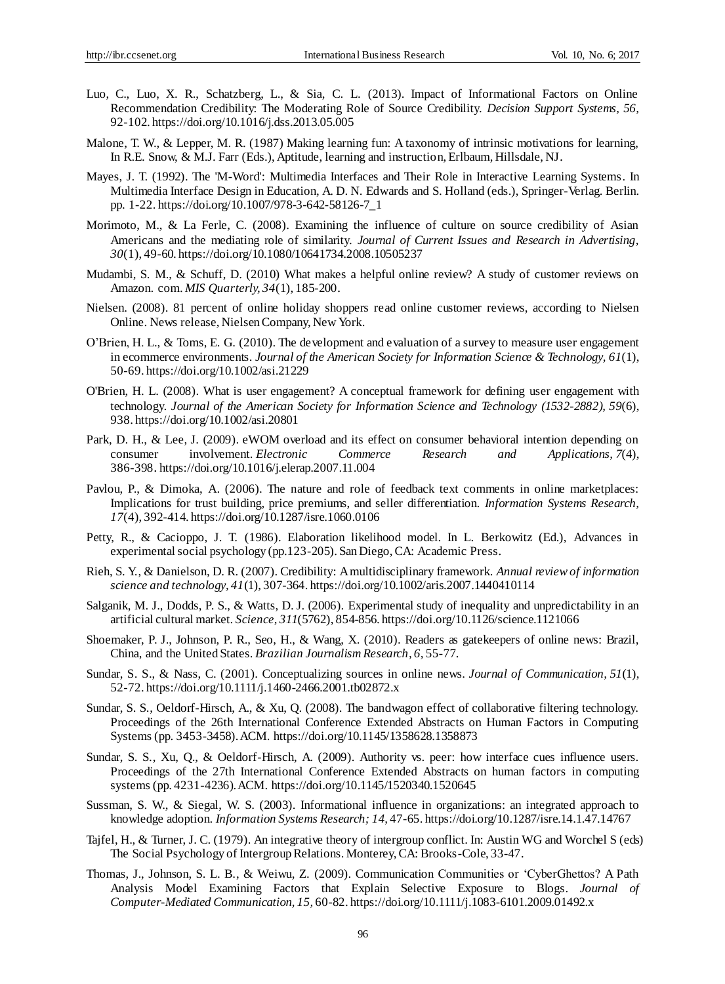- Luo, C., Luo, X. R., Schatzberg, L., & Sia, C. L. (2013). Impact of Informational Factors on Online Recommendation Credibility: The Moderating Role of Source Credibility. *Decision Support Systems, 56,*  92-102. https://doi.org/10.1016/j.dss.2013.05.005
- Malone, T. W., & Lepper, M. R. (1987) Making learning fun: A taxonomy of intrinsic motivations for learning, In R.E. Snow, & M.J. Farr (Eds.), Aptitude, learning and instruction, Erlbaum, Hillsdale, NJ.
- Mayes, J. T. (1992). The 'M-Word': Multimedia Interfaces and Their Role in Interactive Learning Systems. In Multimedia Interface Design in Education, A. D. N. Edwards and S. Holland (eds.), Springer-Verlag. Berlin. pp. 1-22. https://doi.org/10.1007/978-3-642-58126-7\_1
- Morimoto, M., & La Ferle, C. (2008). Examining the influence of culture on source credibility of Asian Americans and the mediating role of similarity. *Journal of Current Issues and Research in Advertising, 30*(1), 49-60. https://doi.org/10.1080/10641734.2008.10505237
- Mudambi, S. M., & Schuff, D. (2010) What makes a helpful online review? A study of customer reviews on Amazon. com. *MIS Quarterly, 34*(1), 185-200.
- Nielsen. (2008). 81 percent of online holiday shoppers read online customer reviews, according to Nielsen Online. News release, Nielsen Company, New York.
- O'Brien, H. L., & Toms, E. G. (2010). The development and evaluation of a survey to measure user engagement in ecommerce environments. *Journal of the American Society for Information Science & Technology, 61*(1), 50-69. https://doi.org/10.1002/asi.21229
- O'Brien, H. L. (2008). What is user engagement? A conceptual framework for defining user engagement with technology. *Journal of the American Society for Information Science and Technology (1532-2882), 59*(6), 938. https://doi.org/10.1002/asi.20801
- Park, D. H., & Lee, J. (2009). eWOM overload and its effect on consumer behavioral intention depending on consumer involvement. *Electronic Commerce Research and Applications, 7*(4), 386-398. https://doi.org/10.1016/j.elerap.2007.11.004
- Pavlou, P., & Dimoka, A. (2006). The nature and role of feedback text comments in online marketplaces: Implications for trust building, price premiums, and seller differentiation. *Information Systems Research, 17*(4), 392-414. https://doi.org/10.1287/isre.1060.0106
- Petty, R., & Cacioppo, J. T. (1986). Elaboration likelihood model. In L. Berkowitz (Ed.), Advances in experimental social psychology (pp.123-205). San Diego, CA: Academic Press.
- Rieh, S. Y., & Danielson, D. R. (2007). Credibility: A multidisciplinary framework. *Annual review of information science and technology, 41*(1), 307-364. https://doi.org/10.1002/aris.2007.1440410114
- Salganik, M. J., Dodds, P. S., & Watts, D. J. (2006). Experimental study of inequality and unpredictability in an artificial cultural market. *Science, 311*(5762), 854-856. https://doi.org/10.1126/science.1121066
- Shoemaker, P. J., Johnson, P. R., Seo, H., & Wang, X. (2010). Readers as gatekeepers of online news: Brazil, China, and the United States. *Brazilian Journalism Research, 6,* 55-77.
- Sundar, S. S., & Nass, C. (2001). Conceptualizing sources in online news. *Journal of Communication, 51*(1), 52-72. https://doi.org/10.1111/j.1460-2466.2001.tb02872.x
- Sundar, S. S., Oeldorf-Hirsch, A., & Xu, Q. (2008). The bandwagon effect of collaborative filtering technology. Proceedings of the 26th International Conference Extended Abstracts on Human Factors in Computing Systems (pp. 3453-3458). ACM. https://doi.org/10.1145/1358628.1358873
- Sundar, S. S., Xu, Q., & Oeldorf-Hirsch, A. (2009). Authority vs. peer: how interface cues influence users. Proceedings of the 27th International Conference Extended Abstracts on human factors in computing systems (pp. 4231-4236). ACM. https://doi.org/10.1145/1520340.1520645
- Sussman, S. W., & Siegal, W. S. (2003). Informational influence in organizations: an integrated approach to knowledge adoption. *Information Systems Research; 14,* 47-65. https://doi.org/10.1287/isre.14.1.47.14767
- Tajfel, H., & Turner, J. C. (1979). An integrative theory of intergroup conflict. In: Austin WG and Worchel S (eds) The Social Psychology of Intergroup Relations. Monterey, CA: Brooks-Cole, 33-47.
- Thomas, J., Johnson, S. L. B., & Weiwu, Z. (2009). Communication Communities or 'CyberGhettos? A Path Analysis Model Examining Factors that Explain Selective Exposure to Blogs. *Journal of Computer-Mediated Communication, 15,* 60-82. https://doi.org/10.1111/j.1083-6101.2009.01492.x